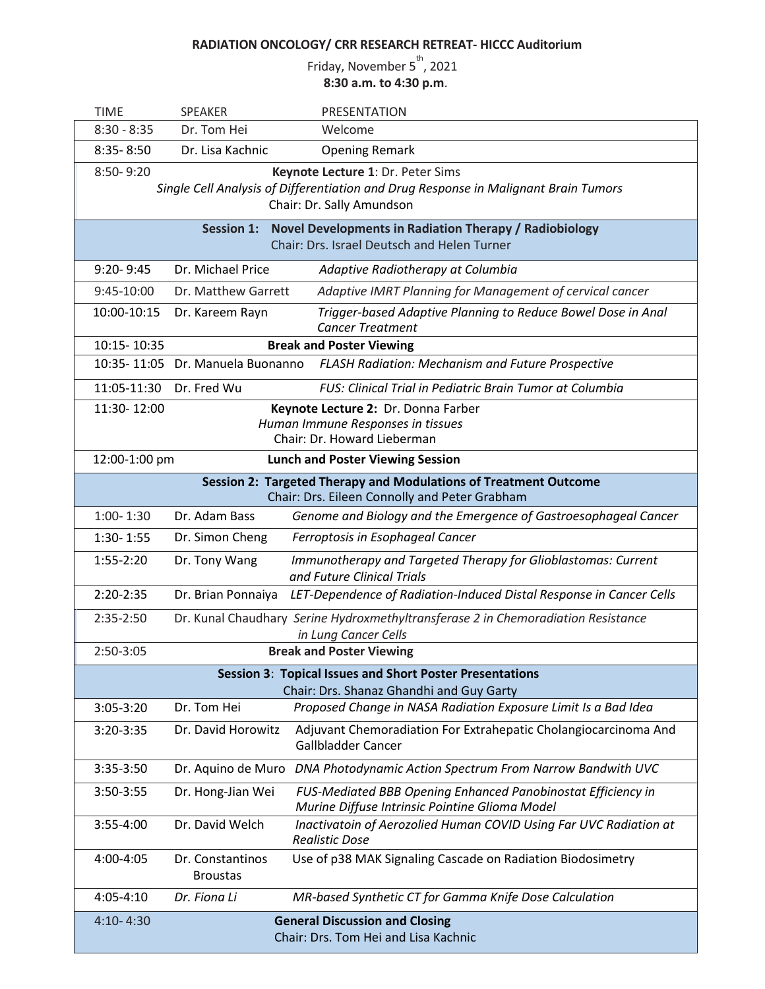## **RADIATION ONCOLOGY/ CRR RESEARCH RETREAT- HICCC Auditorium**

Friday, November 5<sup>th</sup>, 2021 **8:30 a.m. to 4:30 p.m**.

| <b>TIME</b>                                                                                                                                                        | <b>SPEAKER</b>                      | PRESENTATION                                                                                                   |  |
|--------------------------------------------------------------------------------------------------------------------------------------------------------------------|-------------------------------------|----------------------------------------------------------------------------------------------------------------|--|
| $8:30 - 8:35$                                                                                                                                                      | Dr. Tom Hei                         | Welcome                                                                                                        |  |
| $8:35 - 8:50$                                                                                                                                                      | Dr. Lisa Kachnic                    | <b>Opening Remark</b>                                                                                          |  |
| 8:50-9:20<br>Keynote Lecture 1: Dr. Peter Sims<br>Single Cell Analysis of Differentiation and Drug Response in Malignant Brain Tumors<br>Chair: Dr. Sally Amundson |                                     |                                                                                                                |  |
| Novel Developments in Radiation Therapy / Radiobiology<br><b>Session 1:</b><br>Chair: Drs. Israel Deutsch and Helen Turner                                         |                                     |                                                                                                                |  |
| $9:20 - 9:45$                                                                                                                                                      | Dr. Michael Price                   | Adaptive Radiotherapy at Columbia                                                                              |  |
| 9:45-10:00                                                                                                                                                         | Dr. Matthew Garrett                 | Adaptive IMRT Planning for Management of cervical cancer                                                       |  |
| 10:00-10:15                                                                                                                                                        | Dr. Kareem Rayn                     | Trigger-based Adaptive Planning to Reduce Bowel Dose in Anal<br><b>Cancer Treatment</b>                        |  |
| 10:15-10:35<br><b>Break and Poster Viewing</b>                                                                                                                     |                                     |                                                                                                                |  |
|                                                                                                                                                                    | 10:35-11:05 Dr. Manuela Buonanno    | <b>FLASH Radiation: Mechanism and Future Prospective</b>                                                       |  |
| 11:05-11:30                                                                                                                                                        | Dr. Fred Wu                         | <b>FUS: Clinical Trial in Pediatric Brain Tumor at Columbia</b>                                                |  |
| 11:30-12:00                                                                                                                                                        |                                     | Keynote Lecture 2: Dr. Donna Farber<br>Human Immune Responses in tissues<br>Chair: Dr. Howard Lieberman        |  |
| 12:00-1:00 pm                                                                                                                                                      |                                     | <b>Lunch and Poster Viewing Session</b>                                                                        |  |
| Session 2: Targeted Therapy and Modulations of Treatment Outcome<br>Chair: Drs. Eileen Connolly and Peter Grabham                                                  |                                     |                                                                                                                |  |
| $1:00 - 1:30$                                                                                                                                                      | Dr. Adam Bass                       | Genome and Biology and the Emergence of Gastroesophageal Cancer                                                |  |
| $1:30 - 1:55$                                                                                                                                                      | Dr. Simon Cheng                     | Ferroptosis in Esophageal Cancer                                                                               |  |
| $1:55-2:20$                                                                                                                                                        | Dr. Tony Wang                       | Immunotherapy and Targeted Therapy for Glioblastomas: Current<br>and Future Clinical Trials                    |  |
| $2:20-2:35$                                                                                                                                                        |                                     | Dr. Brian Ponnaiya LET-Dependence of Radiation-Induced Distal Response in Cancer Cells                         |  |
| 2:35-2:50                                                                                                                                                          |                                     | Dr. Kunal Chaudhary Serine Hydroxmethyltransferase 2 in Chemoradiation Resistance<br>in Lung Cancer Cells      |  |
| 2:50-3:05<br><b>Break and Poster Viewing</b>                                                                                                                       |                                     |                                                                                                                |  |
| <b>Session 3: Topical Issues and Short Poster Presentations</b><br>Chair: Drs. Shanaz Ghandhi and Guy Garty                                                        |                                     |                                                                                                                |  |
| $3:05-3:20$                                                                                                                                                        | Dr. Tom Hei                         | Proposed Change in NASA Radiation Exposure Limit Is a Bad Idea                                                 |  |
| 3:20-3:35                                                                                                                                                          | Dr. David Horowitz                  | Adjuvant Chemoradiation For Extrahepatic Cholangiocarcinoma And<br>Gallbladder Cancer                          |  |
| 3:35-3:50                                                                                                                                                          | Dr. Aquino de Muro                  | DNA Photodynamic Action Spectrum From Narrow Bandwith UVC                                                      |  |
| 3:50-3:55                                                                                                                                                          | Dr. Hong-Jian Wei                   | FUS-Mediated BBB Opening Enhanced Panobinostat Efficiency in<br>Murine Diffuse Intrinsic Pointine Glioma Model |  |
| 3:55-4:00                                                                                                                                                          | Dr. David Welch                     | Inactivatoin of Aerozolied Human COVID Using Far UVC Radiation at<br><b>Realistic Dose</b>                     |  |
| 4:00-4:05                                                                                                                                                          | Dr. Constantinos<br><b>Broustas</b> | Use of p38 MAK Signaling Cascade on Radiation Biodosimetry                                                     |  |
| 4:05-4:10                                                                                                                                                          | Dr. Fiona Li                        | MR-based Synthetic CT for Gamma Knife Dose Calculation                                                         |  |
| $4:10 - 4:30$                                                                                                                                                      |                                     | <b>General Discussion and Closing</b><br>Chair: Drs. Tom Hei and Lisa Kachnic                                  |  |